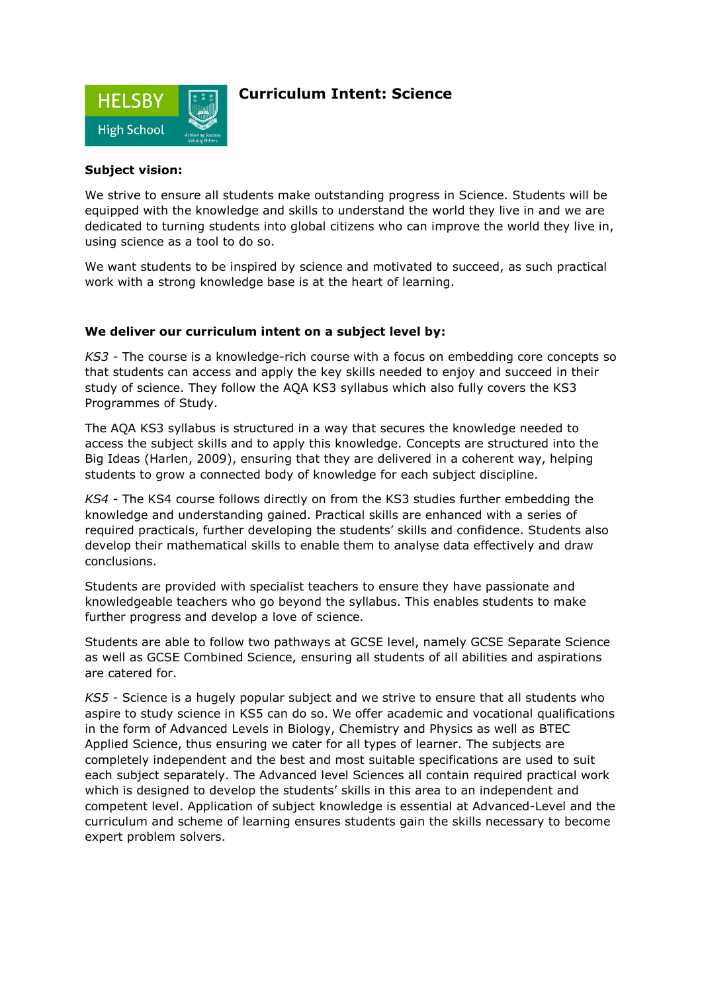

## **Curriculum Intent: Science**

#### **Subject vision:**

We strive to ensure all students make outstanding progress in Science. Students will be equipped with the knowledge and skills to understand the world they live in and we are dedicated to turning students into global citizens who can improve the world they live in, using science as a tool to do so.

We want students to be inspired by science and motivated to succeed, as such practical work with a strong knowledge base is at the heart of learning.

#### **We deliver our curriculum intent on a subject level by:**

*KS3 -* The course is a knowledge-rich course with a focus on embedding core concepts so that students can access and apply the key skills needed to enjoy and succeed in their study of science. They follow the AQA KS3 syllabus which also fully covers the KS3 Programmes of Study.

The AQA KS3 syllabus is structured in a way that secures the knowledge needed to access the subject skills and to apply this knowledge. Concepts are structured into the Big Ideas (Harlen, 2009), ensuring that they are delivered in a coherent way, helping students to grow a connected body of knowledge for each subject discipline.

*KS4 -* The KS4 course follows directly on from the KS3 studies further embedding the knowledge and understanding gained. Practical skills are enhanced with a series of required practicals, further developing the students' skills and confidence. Students also develop their mathematical skills to enable them to analyse data effectively and draw conclusions.

Students are provided with specialist teachers to ensure they have passionate and knowledgeable teachers who go beyond the syllabus. This enables students to make further progress and develop a love of science.

Students are able to follow two pathways at GCSE level, namely GCSE Separate Science as well as GCSE Combined Science, ensuring all students of all abilities and aspirations are catered for.

*KS5 -* Science is a hugely popular subject and we strive to ensure that all students who aspire to study science in KS5 can do so. We offer academic and vocational qualifications in the form of Advanced Levels in Biology, Chemistry and Physics as well as BTEC Applied Science, thus ensuring we cater for all types of learner. The subjects are completely independent and the best and most suitable specifications are used to suit each subject separately. The Advanced level Sciences all contain required practical work which is designed to develop the students' skills in this area to an independent and competent level. Application of subject knowledge is essential at Advanced-Level and the curriculum and scheme of learning ensures students gain the skills necessary to become expert problem solvers.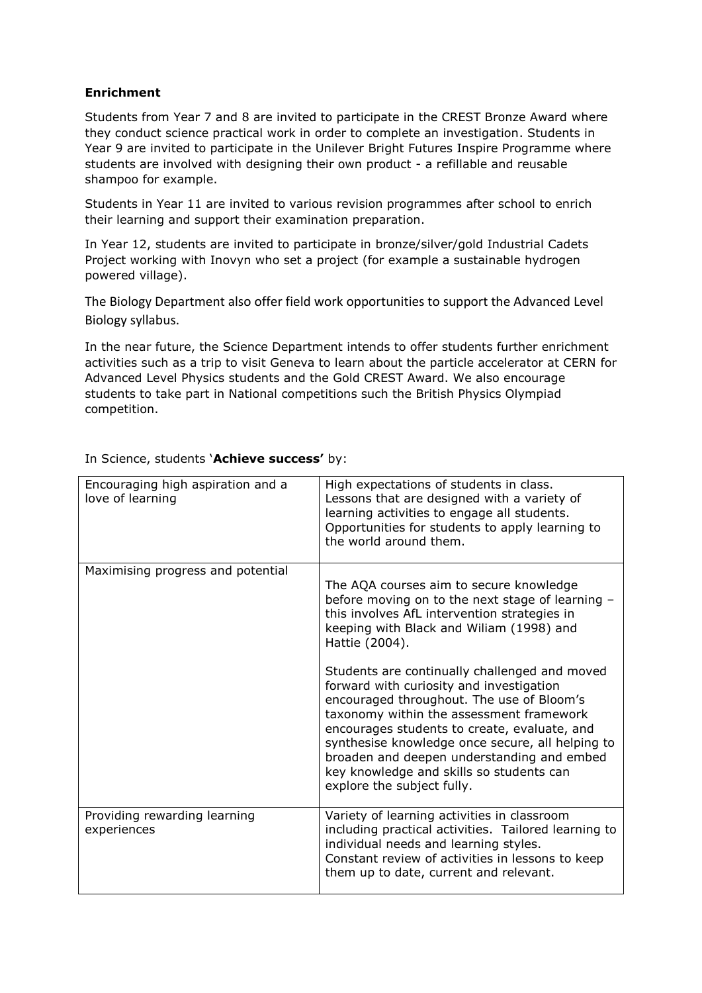### **Enrichment**

Students from Year 7 and 8 are invited to participate in the CREST Bronze Award where they conduct science practical work in order to complete an investigation. Students in Year 9 are invited to participate in the Unilever Bright Futures Inspire Programme where students are involved with designing their own product - a refillable and reusable shampoo for example.

Students in Year 11 are invited to various revision programmes after school to enrich their learning and support their examination preparation.

In Year 12, students are invited to participate in bronze/silver/gold Industrial Cadets Project working with Inovyn who set a project (for example a sustainable hydrogen powered village).

The Biology Department also offer field work opportunities to support the Advanced Level Biology syllabus.

In the near future, the Science Department intends to offer students further enrichment activities such as a trip to visit Geneva to learn about the particle accelerator at CERN for Advanced Level Physics students and the Gold CREST Award. We also encourage students to take part in National competitions such the British Physics Olympiad competition.

| Encouraging high aspiration and a<br>love of learning | High expectations of students in class.<br>Lessons that are designed with a variety of<br>learning activities to engage all students.<br>Opportunities for students to apply learning to<br>the world around them.                                                                                                                                                                                             |
|-------------------------------------------------------|----------------------------------------------------------------------------------------------------------------------------------------------------------------------------------------------------------------------------------------------------------------------------------------------------------------------------------------------------------------------------------------------------------------|
| Maximising progress and potential                     | The AQA courses aim to secure knowledge<br>before moving on to the next stage of learning -<br>this involves AfL intervention strategies in<br>keeping with Black and Wiliam (1998) and<br>Hattie (2004).                                                                                                                                                                                                      |
|                                                       | Students are continually challenged and moved<br>forward with curiosity and investigation<br>encouraged throughout. The use of Bloom's<br>taxonomy within the assessment framework<br>encourages students to create, evaluate, and<br>synthesise knowledge once secure, all helping to<br>broaden and deepen understanding and embed<br>key knowledge and skills so students can<br>explore the subject fully. |
| Providing rewarding learning<br>experiences           | Variety of learning activities in classroom<br>including practical activities. Tailored learning to<br>individual needs and learning styles.<br>Constant review of activities in lessons to keep<br>them up to date, current and relevant.                                                                                                                                                                     |

In Science, students '**Achieve success'** by: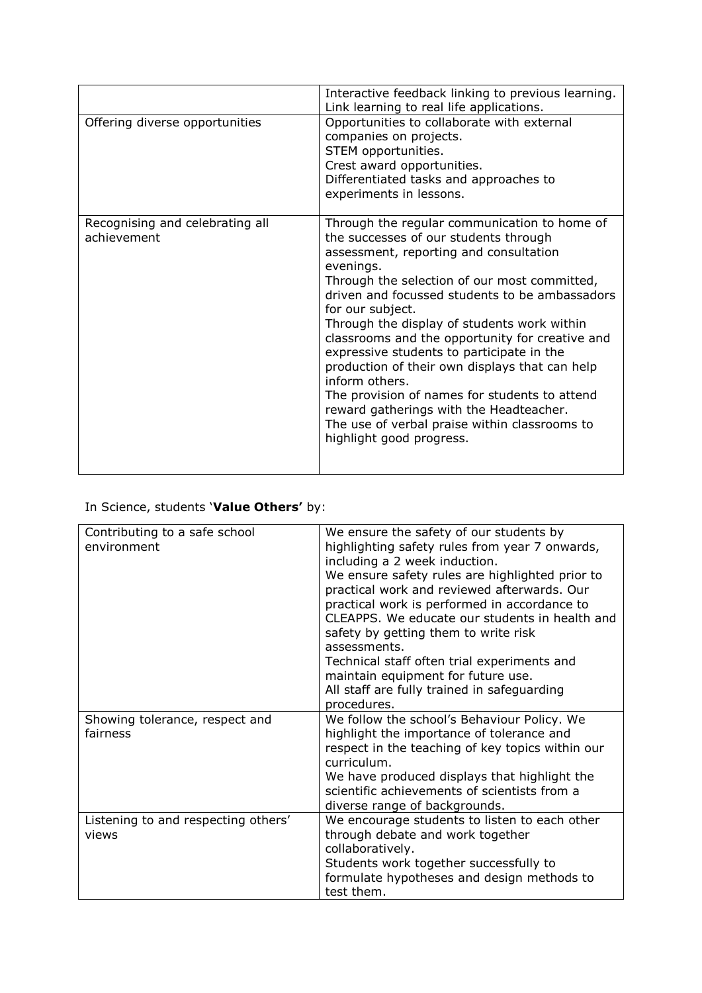|                                                | Interactive feedback linking to previous learning.<br>Link learning to real life applications.                                                                                                                                                                                                                                                                                                                                                                                                                                                                                                                                                                 |
|------------------------------------------------|----------------------------------------------------------------------------------------------------------------------------------------------------------------------------------------------------------------------------------------------------------------------------------------------------------------------------------------------------------------------------------------------------------------------------------------------------------------------------------------------------------------------------------------------------------------------------------------------------------------------------------------------------------------|
| Offering diverse opportunities                 | Opportunities to collaborate with external<br>companies on projects.<br>STEM opportunities.<br>Crest award opportunities.<br>Differentiated tasks and approaches to<br>experiments in lessons.                                                                                                                                                                                                                                                                                                                                                                                                                                                                 |
| Recognising and celebrating all<br>achievement | Through the regular communication to home of<br>the successes of our students through<br>assessment, reporting and consultation<br>evenings.<br>Through the selection of our most committed,<br>driven and focussed students to be ambassadors<br>for our subject.<br>Through the display of students work within<br>classrooms and the opportunity for creative and<br>expressive students to participate in the<br>production of their own displays that can help<br>inform others.<br>The provision of names for students to attend<br>reward gatherings with the Headteacher.<br>The use of verbal praise within classrooms to<br>highlight good progress. |

# In Science, students '**Value Others'** by:

| Contributing to a safe school<br>environment | We ensure the safety of our students by<br>highlighting safety rules from year 7 onwards,<br>including a 2 week induction.<br>We ensure safety rules are highlighted prior to<br>practical work and reviewed afterwards. Our<br>practical work is performed in accordance to<br>CLEAPPS. We educate our students in health and<br>safety by getting them to write risk<br>assessments.<br>Technical staff often trial experiments and<br>maintain equipment for future use.<br>All staff are fully trained in safeguarding<br>procedures. |
|----------------------------------------------|-------------------------------------------------------------------------------------------------------------------------------------------------------------------------------------------------------------------------------------------------------------------------------------------------------------------------------------------------------------------------------------------------------------------------------------------------------------------------------------------------------------------------------------------|
| Showing tolerance, respect and<br>fairness   | We follow the school's Behaviour Policy. We<br>highlight the importance of tolerance and<br>respect in the teaching of key topics within our<br>curriculum.<br>We have produced displays that highlight the<br>scientific achievements of scientists from a<br>diverse range of backgrounds.                                                                                                                                                                                                                                              |
| Listening to and respecting others'<br>views | We encourage students to listen to each other<br>through debate and work together<br>collaboratively.<br>Students work together successfully to<br>formulate hypotheses and design methods to<br>test them.                                                                                                                                                                                                                                                                                                                               |